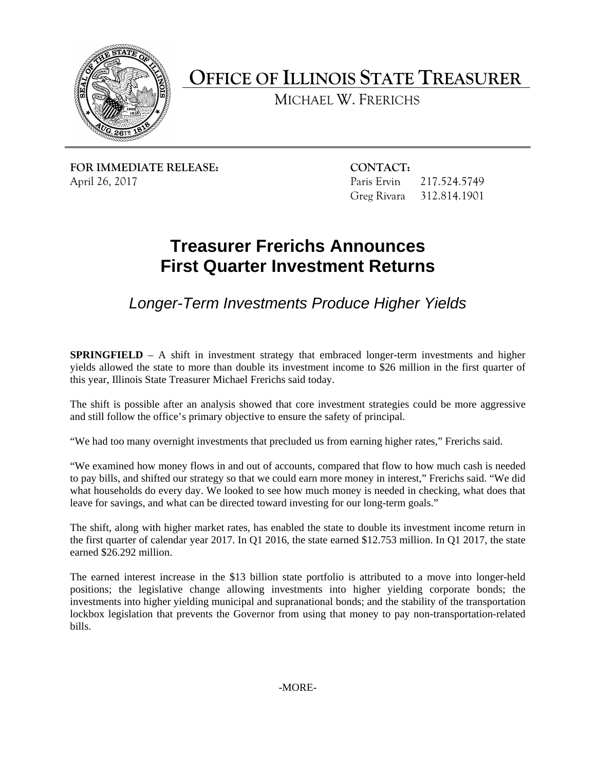

**OFFICE OF ILLINOIS STATE TREASURER** 

MICHAEL W. FRERICHS

**FOR IMMEDIATE RELEASE: CONTACT:** April 26, 2017 **Paris Ervin 217.524.5749** 

Greg Rivara 312.814.1901

## **Treasurer Frerichs Announces First Quarter Investment Returns**

*Longer-Term Investments Produce Higher Yields* 

 **SPRINGFIELD** – A shift in investment strategy that embraced longer-term investments and higher yields allowed the state to more than double its investment income to \$26 million in the first quarter of this year, Illinois State Treasurer Michael Frerichs said today.

The shift is possible after an analysis showed that core investment strategies could be more aggressive and still follow the office's primary objective to ensure the safety of principal.

"We had too many overnight investments that precluded us from earning higher rates," Frerichs said.

"We examined how money flows in and out of accounts, compared that flow to how much cash is needed to pay bills, and shifted our strategy so that we could earn more money in interest," Frerichs said. "We did what households do every day. We looked to see how much money is needed in checking, what does that leave for savings, and what can be directed toward investing for our long-term goals."

 The shift, along with higher market rates, has enabled the state to double its investment income return in the first quarter of calendar year 2017. In Q1 2016, the state earned \$12.753 million. In Q1 2017, the state earned \$26.292 million.

 The earned interest increase in the \$13 billion state portfolio is attributed to a move into longer-held positions; the legislative change allowing investments into higher yielding corporate bonds; the investments into higher yielding municipal and supranational bonds; and the stability of the transportation lockbox legislation that prevents the Governor from using that money to pay non-transportation-related bills.